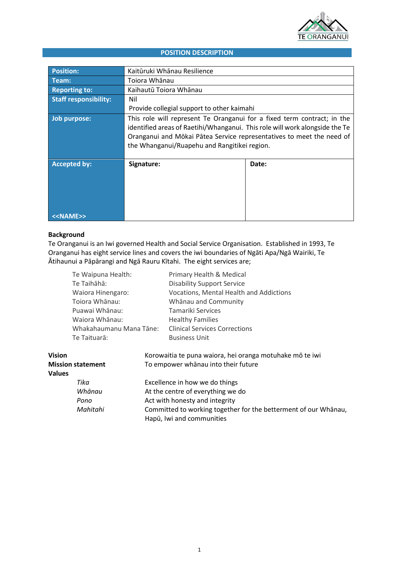

# **POSITION DESCRIPTION**

| <b>Position:</b>             | Kaitūruki Whānau Resilience                                                                                                                                                                                                                                                     |       |  |
|------------------------------|---------------------------------------------------------------------------------------------------------------------------------------------------------------------------------------------------------------------------------------------------------------------------------|-------|--|
| Team:                        | Toiora Whānau                                                                                                                                                                                                                                                                   |       |  |
| <b>Reporting to:</b>         | Kaihautū Toiora Whānau                                                                                                                                                                                                                                                          |       |  |
| <b>Staff responsibility:</b> | Nil                                                                                                                                                                                                                                                                             |       |  |
|                              | Provide collegial support to other kaimahi                                                                                                                                                                                                                                      |       |  |
| Job purpose:                 | This role will represent Te Oranganui for a fixed term contract; in the<br>identified areas of Raetihi/Whanganui. This role will work alongside the Te<br>Oranganui and Mōkai Pātea Service representatives to meet the need of<br>the Whanganui/Ruapehu and Rangitikei region. |       |  |
| <b>Accepted by:</b>          | Signature:                                                                                                                                                                                                                                                                      | Date: |  |
| SEXTERNESS                   |                                                                                                                                                                                                                                                                                 |       |  |

## **Background**

Te Oranganui is an Iwi governed Health and Social Service Organisation. Established in 1993, Te Oranganui has eight service lines and covers the iwi boundaries of Ngāti Apa/Ngā Wairiki, Te Ātihaunui a Pāpārangi and Ngā Rauru Kītahi. The eight services are;

|                          | Te Waipuna Health: |                                   | Primary Health & Medical                                                                     |  |
|--------------------------|--------------------|-----------------------------------|----------------------------------------------------------------------------------------------|--|
|                          | Te Taihāhā:        |                                   | <b>Disability Support Service</b>                                                            |  |
|                          | Waiora Hinengaro:  |                                   | Vocations, Mental Health and Addictions                                                      |  |
|                          | Toiora Whānau:     |                                   | Whānau and Community                                                                         |  |
|                          | Puawai Whānau:     |                                   | Tamariki Services                                                                            |  |
|                          | Waiora Whānau:     |                                   | <b>Healthy Families</b>                                                                      |  |
| Whakahaumanu Mana Tāne:  |                    |                                   | <b>Clinical Services Corrections</b>                                                         |  |
|                          | Te Taituarā:       |                                   | <b>Business Unit</b>                                                                         |  |
| <b>Vision</b>            |                    |                                   | Korowaitia te puna waiora, hei oranga motuhake mō te iwi                                     |  |
| <b>Mission statement</b> |                    |                                   | To empower whānau into their future                                                          |  |
| <b>Values</b>            |                    |                                   |                                                                                              |  |
|                          | Tika               | Excellence in how we do things    |                                                                                              |  |
|                          | Whānau             | At the centre of everything we do |                                                                                              |  |
|                          | Pono               | Act with honesty and integrity    |                                                                                              |  |
|                          | Mahitahi           |                                   | Committed to working together for the betterment of our Whanau,<br>Hapū, Iwi and communities |  |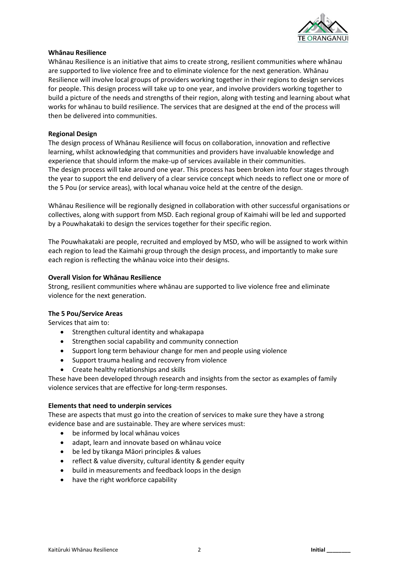

### **Whānau Resilience**

Whānau Resilience is an initiative that aims to create strong, resilient communities where whānau are supported to live violence free and to eliminate violence for the next generation. Whānau Resilience will involve local groups of providers working together in their regions to design services for people. This design process will take up to one year, and involve providers working together to build a picture of the needs and strengths of their region, along with testing and learning about what works for whānau to build resilience. The services that are designed at the end of the process will then be delivered into communities.

### **Regional Design**

The design process of Whānau Resilience will focus on collaboration, innovation and reflective learning, whilst acknowledging that communities and providers have invaluable knowledge and experience that should inform the make-up of services available in their communities. The design process will take around one year. This process has been broken into four stages through the year to support the end delivery of a clear service concept which needs to reflect one or more of the 5 Pou (or service areas), with local whanau voice held at the centre of the design.

Whānau Resilience will be regionally designed in collaboration with other successful organisations or collectives, along with support from MSD. Each regional group of Kaimahi will be led and supported by a Pouwhakataki to design the services together for their specific region.

The Pouwhakataki are people, recruited and employed by MSD, who will be assigned to work within each region to lead the Kaimahi group through the design process, and importantly to make sure each region is reflecting the whānau voice into their designs.

## **Overall Vision for Whānau Resilience**

Strong, resilient communities where whānau are supported to live violence free and eliminate violence for the next generation.

### **The 5 Pou/Service Areas**

Services that aim to:

- Strengthen cultural identity and whakapapa
- Strengthen social capability and community connection
- Support long term behaviour change for men and people using violence
- Support trauma healing and recovery from violence
- Create healthy relationships and skills

These have been developed through research and insights from the sector as examples of family violence services that are effective for long-term responses.

## **Elements that need to underpin services**

These are aspects that must go into the creation of services to make sure they have a strong evidence base and are sustainable. They are where services must:

- be informed by local whānau voices
- adapt, learn and innovate based on whānau voice
- be led by tikanga Māori principles & values
- reflect & value diversity, cultural identity & gender equity
- build in measurements and feedback loops in the design
- have the right workforce capability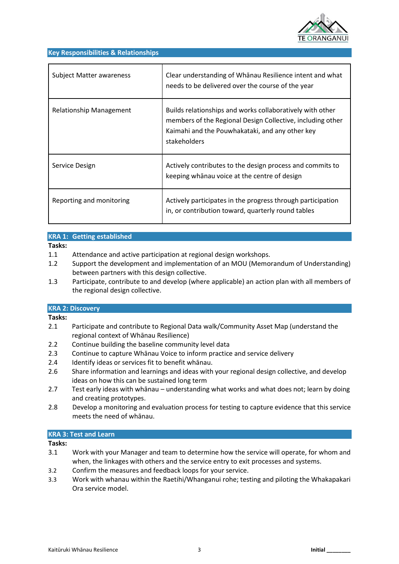

#### **Key Responsibilities & Relationships**

| <b>Subject Matter awareness</b> | Clear understanding of Whanau Resilience intent and what<br>needs to be delivered over the course of the year                                                                              |
|---------------------------------|--------------------------------------------------------------------------------------------------------------------------------------------------------------------------------------------|
| Relationship Management         | Builds relationships and works collaboratively with other<br>members of the Regional Design Collective, including other<br>Kaimahi and the Pouwhakataki, and any other key<br>stakeholders |
| Service Design                  | Actively contributes to the design process and commits to<br>keeping whanau voice at the centre of design                                                                                  |
| Reporting and monitoring        | Actively participates in the progress through participation<br>in, or contribution toward, quarterly round tables                                                                          |

## **KRA 1: Getting established**

#### **Tasks:**

- 1.1 Attendance and active participation at regional design workshops.
- 1.2 Support the development and implementation of an MOU (Memorandum of Understanding) between partners with this design collective.
- 1.3 Participate, contribute to and develop (where applicable) an action plan with all members of the regional design collective.

### **KRA 2: Discovery**

#### **Tasks:**

- 2.1 Participate and contribute to Regional Data walk/Community Asset Map (understand the regional context of Whānau Resilience)
- 2.2 Continue building the baseline community level data
- 2.3 Continue to capture Whānau Voice to inform practice and service delivery
- 2.4 Identify ideas or services fit to benefit whānau.
- 2.6 Share information and learnings and ideas with your regional design collective, and develop ideas on how this can be sustained long term
- 2.7 Test early ideas with whānau understanding what works and what does not; learn by doing and creating prototypes.
- 2.8 Develop a monitoring and evaluation process for testing to capture evidence that this service meets the need of whānau.

### **KRA 3: Test and Learn**

#### **Tasks:**

- 3.1 Work with your Manager and team to determine how the service will operate, for whom and when, the linkages with others and the service entry to exit processes and systems.
- 3.2 Confirm the measures and feedback loops for your service.
- 3.3 Work with whanau within the Raetihi/Whanganui rohe; testing and piloting the Whakapakari Ora service model.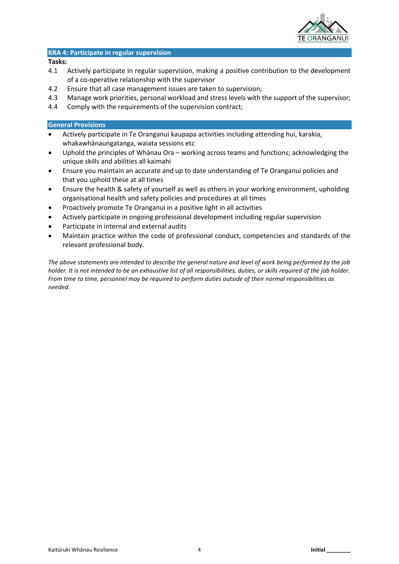

#### **KRA 4: Participate in regular supervision**

#### **Tasks:**

- 4.1 Actively participate in regular supervision, making a positive contribution to the development of a co-operative relationship with the supervisor
- 4.2 Ensure that all case management issues are taken to supervision;
- 4.3 Manage work priorities, personal workload and stress levels with the support of the supervisor;
- 4.4 Comply with the requirements of the supervision contract;

## **General Provisions**

- Actively participate in Te Oranganui kaupapa activities including attending hui, karakia, whakawhānaungatanga, waiata sessions etc
- Uphold the principles of Whānau Ora working across teams and functions; acknowledging the unique skills and abilities all kaimahi
- Ensure you maintain an accurate and up to date understanding of Te Oranganui policies and that you uphold these at all times
- Ensure the health & safety of yourself as well as others in your working environment, upholding organisational health and safety policies and procedures at all times
- Proactively promote Te Oranganui in a positive light in all activities
- Actively participate in ongoing professional development including regular supervision
- Participate in internal and external audits
- Maintain practice within the code of professional conduct, competencies and standards of the relevant professional body.

*The above statements are intended to describe the general nature and level of work being performed by the job holder. It is not intended to be an exhaustive list of all responsibilities, duties, or skills required of the job holder. From time to time, personnel may be required to perform duties outside of their normal responsibilities as needed.*